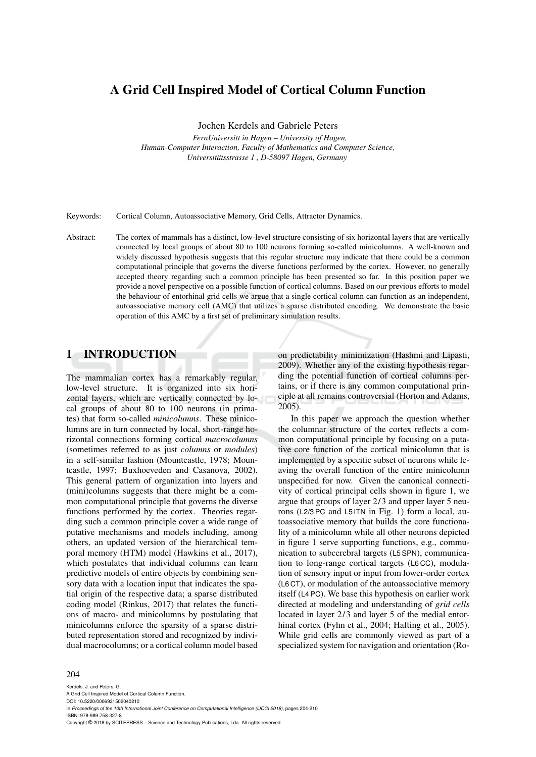# A Grid Cell Inspired Model of Cortical Column Function

Jochen Kerdels and Gabriele Peters

*FernUniversitt in Hagen – University of Hagen, Human-Computer Interaction, Faculty of Mathematics and Computer Science, Universitatsstrasse 1 , D-58097 Hagen, Germany ¨*

Keywords: Cortical Column, Autoassociative Memory, Grid Cells, Attractor Dynamics.

Abstract: The cortex of mammals has a distinct, low-level structure consisting of six horizontal layers that are vertically connected by local groups of about 80 to 100 neurons forming so-called minicolumns. A well-known and widely discussed hypothesis suggests that this regular structure may indicate that there could be a common computational principle that governs the diverse functions performed by the cortex. However, no generally accepted theory regarding such a common principle has been presented so far. In this position paper we provide a novel perspective on a possible function of cortical columns. Based on our previous efforts to model the behaviour of entorhinal grid cells we argue that a single cortical column can function as an independent, autoassociative memory cell (AMC) that utilizes a sparse distributed encoding. We demonstrate the basic operation of this AMC by a first set of preliminary simulation results.

### 1 INTRODUCTION

The mammalian cortex has a remarkably regular, low-level structure. It is organized into six horizontal layers, which are vertically connected by local groups of about 80 to 100 neurons (in primates) that form so-called *minicolumns*. These minicolumns are in turn connected by local, short-range horizontal connections forming cortical *macrocolumns* (sometimes referred to as just *columns* or *modules*) in a self-similar fashion (Mountcastle, 1978; Mountcastle, 1997; Buxhoeveden and Casanova, 2002). This general pattern of organization into layers and (mini)columns suggests that there might be a common computational principle that governs the diverse functions performed by the cortex. Theories regarding such a common principle cover a wide range of putative mechanisms and models including, among others, an updated version of the hierarchical temporal memory (HTM) model (Hawkins et al., 2017), which postulates that individual columns can learn predictive models of entire objects by combining sensory data with a location input that indicates the spatial origin of the respective data; a sparse distributed coding model (Rinkus, 2017) that relates the functions of macro- and minicolumns by postulating that minicolumns enforce the sparsity of a sparse distributed representation stored and recognized by individual macrocolumns; or a cortical column model based

on predictability minimization (Hashmi and Lipasti, 2009). Whether any of the existing hypothesis regarding the potential function of cortical columns pertains, or if there is any common computational principle at all remains controversial (Horton and Adams, 2005).

In this paper we approach the question whether the columnar structure of the cortex reflects a common computational principle by focusing on a putative core function of the cortical minicolumn that is implemented by a specific subset of neurons while leaving the overall function of the entire minicolumn unspecified for now. Given the canonical connectivity of cortical principal cells shown in figure 1, we argue that groups of layer 2/3 and upper layer 5 neurons (L2/3 PC and L5 ITN in Fig. 1) form a local, autoassociative memory that builds the core functionality of a minicolumn while all other neurons depicted in figure 1 serve supporting functions, e.g., communication to subcerebral targets (L5 SPN), communication to long-range cortical targets (L6 CC), modulation of sensory input or input from lower-order cortex (L6 CT), or modulation of the autoassociative memory itself (L4 PC). We base this hypothesis on earlier work directed at modeling and understanding of *grid cells* located in layer 2/3 and layer 5 of the medial entorhinal cortex (Fyhn et al., 2004; Hafting et al., 2005). While grid cells are commonly viewed as part of a specialized system for navigation and orientation (Ro-

#### 204

Kerdels, J. and Peters, G. A Grid Cell Inspired Model of Cortical Column Function. DOI: 10.5220/0006931502040210 In *Proceedings of the 10th International Joint Conference on Computational Intelligence (IJCCI 2018)*, pages 204-210 ISBN: 978-989-758-327-8 Copyright © 2018 by SCITEPRESS – Science and Technology Publications, Lda. All rights reserved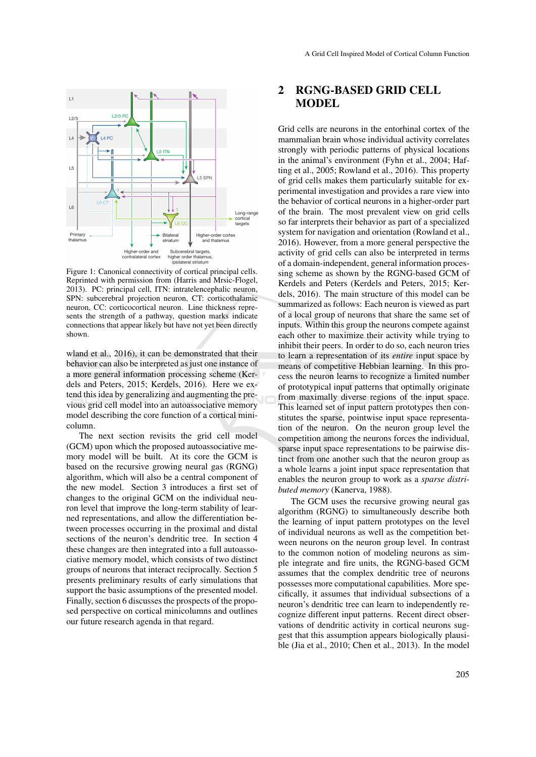

Figure 1: Canonical connectivity of cortical principal cells. Reprinted with permission from (Harris and Mrsic-Flogel, 2013). PC: principal cell, ITN: intratelencephalic neuron, SPN: subcerebral projection neuron, CT: corticothalamic neuron, CC: corticocortical neuron. Line thickness represents the strength of a pathway, question marks indicate connections that appear likely but have not yet been directly shown.

wland et al., 2016), it can be demonstrated that their behavior can also be interpreted as just one instance of a more general information processing scheme (Kerdels and Peters, 2015; Kerdels, 2016). Here we extend this idea by generalizing and augmenting the previous grid cell model into an autoassociative memory model describing the core function of a cortical minicolumn.

The next section revisits the grid cell model (GCM) upon which the proposed autoassociative memory model will be built. At its core the GCM is based on the recursive growing neural gas (RGNG) algorithm, which will also be a central component of the new model. Section 3 introduces a first set of changes to the original GCM on the individual neuron level that improve the long-term stability of learned representations, and allow the differentiation between processes occurring in the proximal and distal sections of the neuron's dendritic tree. In section 4 these changes are then integrated into a full autoassociative memory model, which consists of two distinct groups of neurons that interact reciprocally. Section 5 presents preliminary results of early simulations that support the basic assumptions of the presented model. Finally, section 6 discusses the prospects of the proposed perspective on cortical minicolumns and outlines our future research agenda in that regard.

### 2 RGNG-BASED GRID CELL MODEL

Grid cells are neurons in the entorhinal cortex of the mammalian brain whose individual activity correlates strongly with periodic patterns of physical locations in the animal's environment (Fyhn et al., 2004; Hafting et al., 2005; Rowland et al., 2016). This property of grid cells makes them particularly suitable for experimental investigation and provides a rare view into the behavior of cortical neurons in a higher-order part of the brain. The most prevalent view on grid cells so far interprets their behavior as part of a specialized system for navigation and orientation (Rowland et al., 2016). However, from a more general perspective the activity of grid cells can also be interpreted in terms of a domain-independent, general information processing scheme as shown by the RGNG-based GCM of Kerdels and Peters (Kerdels and Peters, 2015; Kerdels, 2016). The main structure of this model can be summarized as follows: Each neuron is viewed as part of a local group of neurons that share the same set of inputs. Within this group the neurons compete against each other to maximize their activity while trying to inhibit their peers. In order to do so, each neuron tries to learn a representation of its *entire* input space by means of competitive Hebbian learning. In this process the neuron learns to recognize a limited number of prototypical input patterns that optimally originate from maximally diverse regions of the input space. This learned set of input pattern prototypes then constitutes the sparse, pointwise input space representation of the neuron. On the neuron group level the competition among the neurons forces the individual, sparse input space representations to be pairwise distinct from one another such that the neuron group as a whole learns a joint input space representation that enables the neuron group to work as a *sparse distributed memory* (Kanerva, 1988).

The GCM uses the recursive growing neural gas algorithm (RGNG) to simultaneously describe both the learning of input pattern prototypes on the level of individual neurons as well as the competition between neurons on the neuron group level. In contrast to the common notion of modeling neurons as simple integrate and fire units, the RGNG-based GCM assumes that the complex dendritic tree of neurons possesses more computational capabilities. More specifically, it assumes that individual subsections of a neuron's dendritic tree can learn to independently recognize different input patterns. Recent direct observations of dendritic activity in cortical neurons suggest that this assumption appears biologically plausible (Jia et al., 2010; Chen et al., 2013). In the model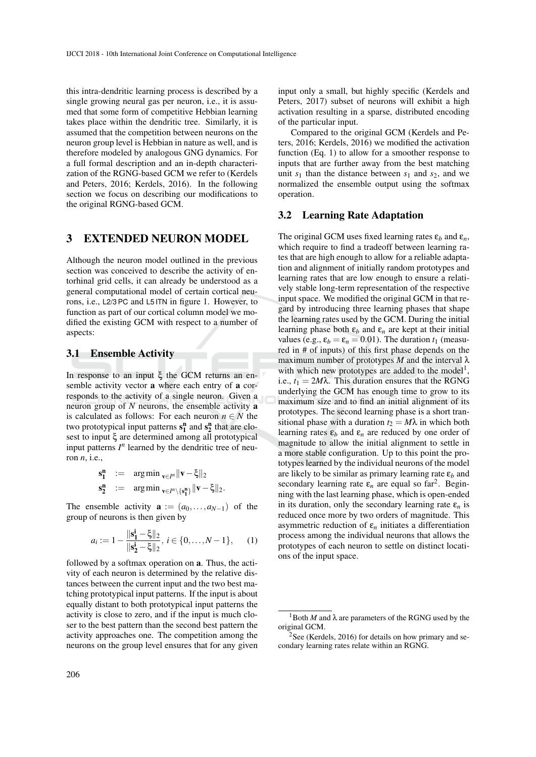this intra-dendritic learning process is described by a single growing neural gas per neuron, i.e., it is assumed that some form of competitive Hebbian learning takes place within the dendritic tree. Similarly, it is assumed that the competition between neurons on the neuron group level is Hebbian in nature as well, and is therefore modeled by analogous GNG dynamics. For a full formal description and an in-depth characterization of the RGNG-based GCM we refer to (Kerdels and Peters, 2016; Kerdels, 2016). In the following section we focus on describing our modifications to the original RGNG-based GCM.

### 3 EXTENDED NEURON MODEL

Although the neuron model outlined in the previous section was conceived to describe the activity of entorhinal grid cells, it can already be understood as a general computational model of certain cortical neurons, i.e., L2/3 PC and L5 ITN in figure 1. However, to function as part of our cortical column model we modified the existing GCM with respect to a number of aspects:

#### 3.1 Ensemble Activity

In response to an input ξ the GCM returns an ensemble activity vector a where each entry of a corresponds to the activity of a single neuron. Given a neuron group of *N* neurons, the ensemble activity a is calculated as follows: For each neuron  $n \in N$  the two prototypical input patterns  $s_1^n$  and  $s_2^n$  that are closest to input ξ are determined among all prototypical input patterns  $I<sup>n</sup>$  learned by the dendritic tree of neuron *n*, i.e.,

$$
\begin{array}{lll} \mathbf{s_1^n} & := & \text{arg}\min_{\mathbf{v} \in \mathit{I}^n} \|\mathbf{v} - \boldsymbol{\xi}\|_2 \\ \mathbf{s_2^n} & := & \text{arg}\min_{\mathbf{v} \in \mathit{I}^n \setminus \{\mathbf{s_1^n}\}} \|\mathbf{v} - \boldsymbol{\xi}\|_2. \end{array}
$$

The ensemble activity  $\mathbf{a} := (a_0, \dots, a_{N-1})$  of the group of neurons is then given by

$$
a_i := 1 - \frac{\|\mathbf{s}_1^i - \xi\|_2}{\|\mathbf{s}_2^i - \xi\|_2}, \ i \in \{0, \dots, N - 1\}, \qquad (1)
$$

followed by a softmax operation on a. Thus, the activity of each neuron is determined by the relative distances between the current input and the two best matching prototypical input patterns. If the input is about equally distant to both prototypical input patterns the activity is close to zero, and if the input is much closer to the best pattern than the second best pattern the activity approaches one. The competition among the neurons on the group level ensures that for any given input only a small, but highly specific (Kerdels and Peters, 2017) subset of neurons will exhibit a high activation resulting in a sparse, distributed encoding of the particular input.

Compared to the original GCM (Kerdels and Peters, 2016; Kerdels, 2016) we modified the activation function (Eq. 1) to allow for a smoother response to inputs that are further away from the best matching unit  $s_1$  than the distance between  $s_1$  and  $s_2$ , and we normalized the ensemble output using the softmax operation.

### 3.2 Learning Rate Adaptation

The original GCM uses fixed learning rates  $\varepsilon_b$  and  $\varepsilon_n$ , which require to find a tradeoff between learning rates that are high enough to allow for a reliable adaptation and alignment of initially random prototypes and learning rates that are low enough to ensure a relatively stable long-term representation of the respective input space. We modified the original GCM in that regard by introducing three learning phases that shape the learning rates used by the GCM. During the initial learning phase both  $\varepsilon_b$  and  $\varepsilon_n$  are kept at their initial values (e.g.,  $\varepsilon_b = \varepsilon_n = 0.01$ ). The duration  $t_1$  (measured in # of inputs) of this first phase depends on the maximum number of prototypes *M* and the interval λ with which new prototypes are added to the model<sup>1</sup>, i.e.,  $t_1 = 2M\lambda$ . This duration ensures that the RGNG underlying the GCM has enough time to grow to its maximum size and to find an initial alignment of its prototypes. The second learning phase is a short transitional phase with a duration  $t_2 = M\lambda$  in which both learning rates  $\varepsilon_b$  and  $\varepsilon_n$  are reduced by one order of magnitude to allow the initial alignment to settle in a more stable configuration. Up to this point the prototypes learned by the individual neurons of the model are likely to be similar as primary learning rate ε*<sup>b</sup>* and secondary learning rate  $\varepsilon_n$  are equal so far<sup>2</sup>. Beginning with the last learning phase, which is open-ended in its duration, only the secondary learning rate  $\varepsilon_n$  is reduced once more by two orders of magnitude. This asymmetric reduction of  $\varepsilon_n$  initiates a differentiation process among the individual neurons that allows the prototypes of each neuron to settle on distinct locations of the input space.

<sup>&</sup>lt;sup>1</sup>Both *M* and  $\lambda$  are parameters of the RGNG used by the original GCM.

 $2$ See (Kerdels, 2016) for details on how primary and secondary learning rates relate within an RGNG.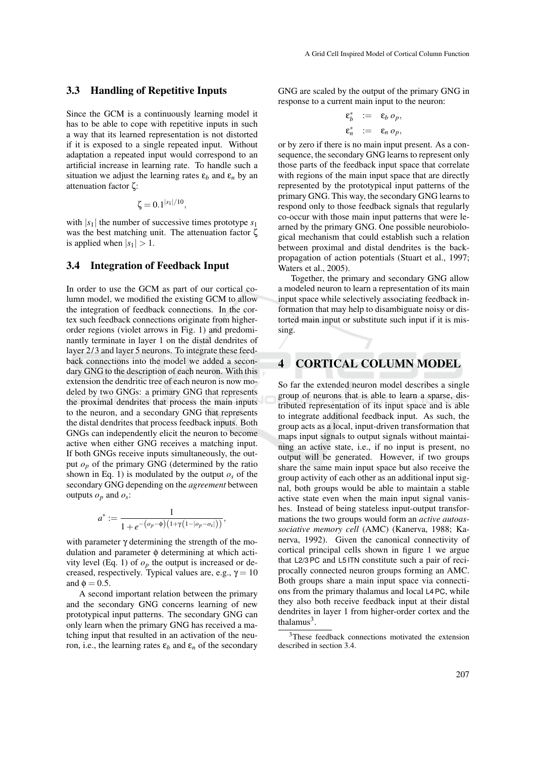#### 3.3 Handling of Repetitive Inputs

Since the GCM is a continuously learning model it has to be able to cope with repetitive inputs in such a way that its learned representation is not distorted if it is exposed to a single repeated input. Without adaptation a repeated input would correspond to an artificial increase in learning rate. To handle such a situation we adjust the learning rates  $\varepsilon_b$  and  $\varepsilon_n$  by an attenuation factor ζ:

$$
\zeta = 0.1^{|s_1|/10},
$$

with  $|s_1|$  the number of successive times prototype  $s_1$ was the best matching unit. The attenuation factor ζ is applied when  $|s_1| > 1$ .

#### 3.4 Integration of Feedback Input

In order to use the GCM as part of our cortical column model, we modified the existing GCM to allow the integration of feedback connections. In the cortex such feedback connections originate from higherorder regions (violet arrows in Fig. 1) and predominantly terminate in layer 1 on the distal dendrites of layer 2/3 and layer 5 neurons. To integrate these feedback connections into the model we added a secondary GNG to the description of each neuron. With this extension the dendritic tree of each neuron is now modeled by two GNGs: a primary GNG that represents the proximal dendrites that process the main inputs to the neuron, and a secondary GNG that represents the distal dendrites that process feedback inputs. Both GNGs can independently elicit the neuron to become active when either GNG receives a matching input. If both GNGs receive inputs simultaneously, the output  $o_p$  of the primary GNG (determined by the ratio shown in Eq. 1) is modulated by the output  $o<sub>s</sub>$  of the secondary GNG depending on the *agreement* between outputs  $o_p$  and  $o_s$ :

$$
a^* := \frac{1}{1 + e^{-(o_p - \phi)(1 + \gamma(1 - |o_p - o_s|))}},
$$

with parameter  $\gamma$  determining the strength of the modulation and parameter φ determining at which activity level (Eq. 1) of  $o_p$  the output is increased or decreased, respectively. Typical values are, e.g.,  $\gamma = 10$ and  $\phi = 0.5$ .

A second important relation between the primary and the secondary GNG concerns learning of new prototypical input patterns. The secondary GNG can only learn when the primary GNG has received a matching input that resulted in an activation of the neuron, i.e., the learning rates  $ε<sub>b</sub>$  and  $ε<sub>n</sub>$  of the secondary

GNG are scaled by the output of the primary GNG in response to a current main input to the neuron:

$$
\begin{aligned}\n\mathbf{\varepsilon}_b^* &:= \mathbf{\varepsilon}_b \, o_p, \\
\mathbf{\varepsilon}_n^* &:= \mathbf{\varepsilon}_n \, o_p,\n\end{aligned}
$$

or by zero if there is no main input present. As a consequence, the secondary GNG learns to represent only those parts of the feedback input space that correlate with regions of the main input space that are directly represented by the prototypical input patterns of the primary GNG. This way, the secondary GNG learns to respond only to those feedback signals that regularly co-occur with those main input patterns that were learned by the primary GNG. One possible neurobiological mechanism that could establish such a relation between proximal and distal dendrites is the backpropagation of action potentials (Stuart et al., 1997; Waters et al., 2005).

Together, the primary and secondary GNG allow a modeled neuron to learn a representation of its main input space while selectively associating feedback information that may help to disambiguate noisy or distorted main input or substitute such input if it is missing.

### **CORTICAL COLUMN MODEL**

So far the extended neuron model describes a single group of neurons that is able to learn a sparse, distributed representation of its input space and is able to integrate additional feedback input. As such, the group acts as a local, input-driven transformation that maps input signals to output signals without maintaining an active state, i.e., if no input is present, no output will be generated. However, if two groups share the same main input space but also receive the group activity of each other as an additional input signal, both groups would be able to maintain a stable active state even when the main input signal vanishes. Instead of being stateless input-output transformations the two groups would form an *active autoassociative memory cell* (AMC) (Kanerva, 1988; Kanerva, 1992). Given the canonical connectivity of cortical principal cells shown in figure 1 we argue that L2/3 PC and L5 ITN constitute such a pair of reciprocally connected neuron groups forming an AMC. Both groups share a main input space via connections from the primary thalamus and local L4 PC, while they also both receive feedback input at their distal dendrites in layer 1 from higher-order cortex and the thalamus $3$ .

<sup>3</sup>These feedback connections motivated the extension described in section 3.4.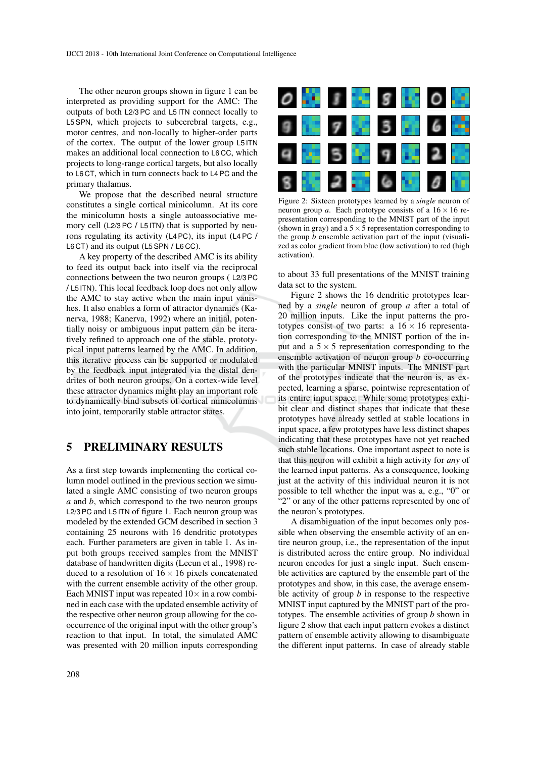The other neuron groups shown in figure 1 can be interpreted as providing support for the AMC: The outputs of both L2/3 PC and L5 ITN connect locally to L5 SPN, which projects to subcerebral targets, e.g., motor centres, and non-locally to higher-order parts of the cortex. The output of the lower group L5 ITN makes an additional local connection to L6 CC, which projects to long-range cortical targets, but also locally to L6 CT, which in turn connects back to L4 PC and the primary thalamus.

We propose that the described neural structure constitutes a single cortical minicolumn. At its core the minicolumn hosts a single autoassociative memory cell (L2/3 PC / L5 ITN) that is supported by neurons regulating its activity (L4 PC), its input (L4 PC / L6 CT) and its output (L5 SPN / L6 CC).

A key property of the described AMC is its ability to feed its output back into itself via the reciprocal connections between the two neuron groups ( L2/3 PC / L5 ITN). This local feedback loop does not only allow the AMC to stay active when the main input vanishes. It also enables a form of attractor dynamics (Kanerva, 1988; Kanerva, 1992) where an initial, potentially noisy or ambiguous input pattern can be iteratively refined to approach one of the stable, prototypical input patterns learned by the AMC. In addition, this iterative process can be supported or modulated by the feedback input integrated via the distal dendrites of both neuron groups. On a cortex-wide level these attractor dynamics might play an important role to dynamically bind subsets of cortical minicolumns into joint, temporarily stable attractor states.

### 5 PRELIMINARY RESULTS

As a first step towards implementing the cortical column model outlined in the previous section we simulated a single AMC consisting of two neuron groups *a* and *b*, which correspond to the two neuron groups L2/3 PC and L5 ITN of figure 1. Each neuron group was modeled by the extended GCM described in section 3 containing 25 neurons with 16 dendritic prototypes each. Further parameters are given in table 1. As input both groups received samples from the MNIST database of handwritten digits (Lecun et al., 1998) reduced to a resolution of  $16 \times 16$  pixels concatenated with the current ensemble activity of the other group. Each MNIST input was repeated  $10\times$  in a row combined in each case with the updated ensemble activity of the respective other neuron group allowing for the cooccurrence of the original input with the other group's reaction to that input. In total, the simulated AMC was presented with 20 million inputs corresponding



Figure 2: Sixteen prototypes learned by a *single* neuron of neuron group *a*. Each prototype consists of a  $16 \times 16$  representation corresponding to the MNIST part of the input (shown in gray) and a  $5 \times 5$  representation corresponding to the group *b* ensemble activation part of the input (visualized as color gradient from blue (low activation) to red (high activation).

to about 33 full presentations of the MNIST training data set to the system.

Figure 2 shows the 16 dendritic prototypes learned by a *single* neuron of group *a* after a total of 20 million inputs. Like the input patterns the prototypes consist of two parts: a  $16 \times 16$  representation corresponding to the MNIST portion of the input and a  $5 \times 5$  representation corresponding to the ensemble activation of neuron group *b* co-occurring with the particular MNIST inputs. The MNIST part of the prototypes indicate that the neuron is, as expected, learning a sparse, pointwise representation of its entire input space. While some prototypes exhibit clear and distinct shapes that indicate that these prototypes have already settled at stable locations in input space, a few prototypes have less distinct shapes indicating that these prototypes have not yet reached such stable locations. One important aspect to note is that this neuron will exhibit a high activity for *any* of the learned input patterns. As a consequence, looking just at the activity of this individual neuron it is not possible to tell whether the input was a, e.g., "0" or "2" or any of the other patterns represented by one of the neuron's prototypes.

A disambiguation of the input becomes only possible when observing the ensemble activity of an entire neuron group, i.e., the representation of the input is distributed across the entire group. No individual neuron encodes for just a single input. Such ensemble activities are captured by the ensemble part of the prototypes and show, in this case, the average ensemble activity of group *b* in response to the respective MNIST input captured by the MNIST part of the prototypes. The ensemble activities of group *b* shown in figure 2 show that each input pattern evokes a distinct pattern of ensemble activity allowing to disambiguate the different input patterns. In case of already stable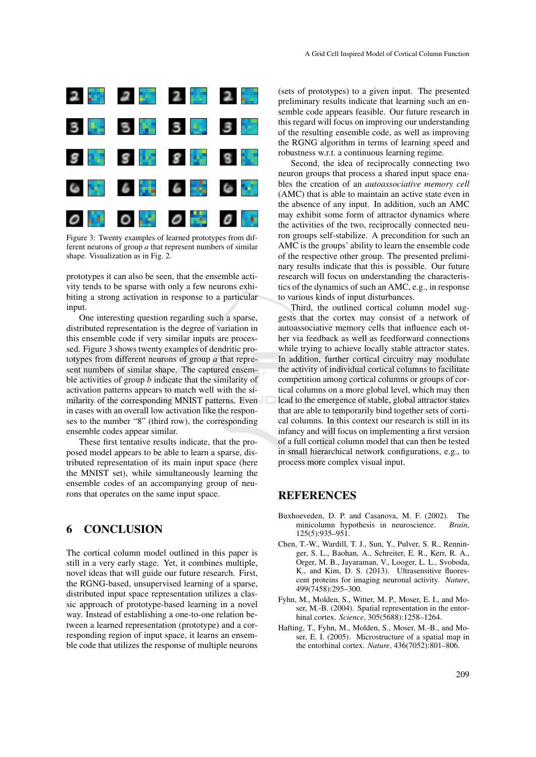

Figure 3: Twenty examples of learned prototypes from different neurons of group *a* that represent numbers of similar shape. Visualization as in Fig. 2.

prototypes it can also be seen, that the ensemble activity tends to be sparse with only a few neurons exhibiting a strong activation in response to a particular input.

One interesting question regarding such a sparse, distributed representation is the degree of variation in this ensemble code if very similar inputs are processed. Figure 3 shows twenty examples of dendritic prototypes from different neurons of group *a* that represent numbers of similar shape. The captured ensemble activities of group *b* indicate that the similarity of activation patterns appears to match well with the similarity of the corresponding MNIST patterns. Even in cases with an overall low activation like the responses to the number "8" (third row), the corresponding ensemble codes appear similar.

These first tentative results indicate, that the proposed model appears to be able to learn a sparse, distributed representation of its main input space (here the MNIST set), while simultaneously learning the ensemble codes of an accompanying group of neurons that operates on the same input space.

# 6 CONCLUSION

The cortical column model outlined in this paper is still in a very early stage. Yet, it combines multiple, novel ideas that will guide our future research. First, the RGNG-based, unsupervised learning of a sparse, distributed input space representation utilizes a classic approach of prototype-based learning in a novel way. Instead of establishing a one-to-one relation between a learned representation (prototype) and a corresponding region of input space, it learns an ensemble code that utilizes the response of multiple neurons

(sets of prototypes) to a given input. The presented preliminary results indicate that learning such an ensemble code appears feasible. Our future research in this regard will focus on improving our understanding of the resulting ensemble code, as well as improving the RGNG algorithm in terms of learning speed and robustness w.r.t. a continuous learning regime.

Second, the idea of reciprocally connecting two neuron groups that process a shared input space enables the creation of an *autoassociative memory cell* (AMC) that is able to maintain an active state even in the absence of any input. In addition, such an AMC may exhibit some form of attractor dynamics where the activities of the two, reciprocally connected neuron groups self-stabilize. A precondition for such an AMC is the groups' ability to learn the ensemble code of the respective other group. The presented preliminary results indicate that this is possible. Our future research will focus on understanding the characteristics of the dynamics of such an AMC, e.g., in response to various kinds of input disturbances.

Third, the outlined cortical column model suggests that the cortex may consist of a network of autoassociative memory cells that influence each other via feedback as well as feedforward connections while trying to achieve locally stable attractor states. In addition, further cortical circuitry may modulate the activity of individual cortical columns to facilitate competition among cortical columns or groups of cortical columns on a more global level, which may then lead to the emergence of stable, global attractor states that are able to temporarily bind together sets of cortical columns. In this context our research is still in its infancy and will focus on implementing a first version of a full cortical column model that can then be tested in small hierarchical network configurations, e.g., to process more complex visual input.

### REFERENCES

- Buxhoeveden, D. P. and Casanova, M. F. (2002). The minicolumn hypothesis in neuroscience. *Brain*, 125(5):935–951.
- Chen, T.-W., Wardill, T. J., Sun, Y., Pulver, S. R., Renninger, S. L., Baohan, A., Schreiter, E. R., Kerr, R. A., Orger, M. B., Jayaraman, V., Looger, L. L., Svoboda, K., and Kim, D. S. (2013). Ultrasensitive fluorescent proteins for imaging neuronal activity. *Nature*, 499(7458):295–300.
- Fyhn, M., Molden, S., Witter, M. P., Moser, E. I., and Moser, M.-B. (2004). Spatial representation in the entorhinal cortex. *Science*, 305(5688):1258–1264.
- Hafting, T., Fyhn, M., Molden, S., Moser, M.-B., and Moser, E. I. (2005). Microstructure of a spatial map in the entorhinal cortex. *Nature*, 436(7052):801–806.